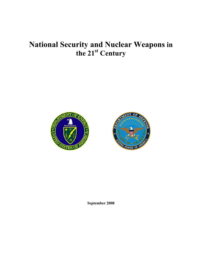# **National Security and Nuclear Weapons in the 21st Century**





**September 2008**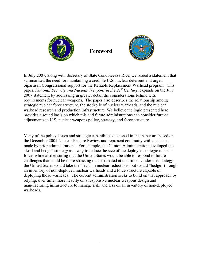

**Foreword** 



In July 2007, along with Secretary of State Condoleezza Rice, we issued a statement that summarized the need for maintaining a credible U.S. nuclear deterrent and urged bipartisan Congressional support for the Reliable Replacement Warhead program. This paper, *National Security and Nuclear Weapons in the 21<sup>st</sup> Century*, expands on the July 2007 statement by addressing in greater detail the considerations behind U.S. requirements for nuclear weapons. The paper also describes the relationship among strategic nuclear force structure, the stockpile of nuclear warheads, and the nuclear warhead research and production infrastructure. We believe the logic presented here provides a sound basis on which this and future administrations can consider further adjustments to U.S. nuclear weapons policy, strategy, and force structure.

Many of the policy issues and strategic capabilities discussed in this paper are based on the December 2001 Nuclear Posture Review and represent continuity with decisions made by prior administrations. For example, the Clinton Administration developed the "lead and hedge" strategy as a way to reduce the size of the deployed strategic nuclear force, while also ensuring that the United States would be able to respond to future challenges that could be more stressing than estimated at that time. Under this strategy the United States would take the "lead" in nuclear reductions, but would "hedge" through an inventory of non-deployed nuclear warheads and a force structure capable of deploying those warheads. The current administration seeks to build on that approach by relying, over time, more heavily on a responsive nuclear weapons design and manufacturing infrastructure to manage risk, and less on an inventory of non-deployed warheads.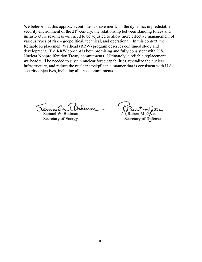We believe that this approach continues to have merit. In the dynamic, unpredictable security environment of the  $21<sup>st</sup>$  century, the relationship between standing forces and infrastructure readiness will need to be adjusted to allow more effective management of various types of risk – geopolitical, technical, and operational. In this context, the Reliable Replacement Warhead (RRW) program deserves continued study and development. The RRW concept is both promising and fully consistent with U.S. Nuclear Nonproliferation Treaty commitments. Ultimately, a reliable replacement warhead will be needed to sustain nuclear force capabilities, revitalize the nuclear infrastructure, and reduce the nuclear stockpile in a manner that is consistent with U.S. security objectives, including alliance commitments.

Samuel W. Bodman Secretary of Energy

Secretary of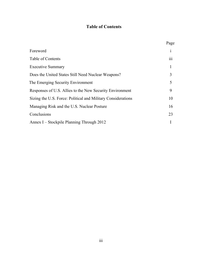# **Table of Contents**

|                                                              | Page         |
|--------------------------------------------------------------|--------------|
| Foreword                                                     | $\mathbf{1}$ |
| Table of Contents                                            | 111          |
| <b>Executive Summary</b>                                     | 1            |
| Does the United States Still Need Nuclear Weapons?           | 3            |
| The Emerging Security Environment                            | 5            |
| Responses of U.S. Allies to the New Security Environment     | 9            |
| Sizing the U.S. Force: Political and Military Considerations | 10           |
| Managing Risk and the U.S. Nuclear Posture                   | 16           |
| Conclusions                                                  | 23           |
| Annex I – Stockpile Planning Through 2012                    |              |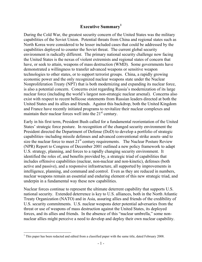# **Executive Summary1**

During the Cold War, the greatest security concern of the United States was the military capabilities of the Soviet Union. Potential threats from China and regional states such as North Korea were considered to be lesser included cases that could be addressed by the capabilities deployed to counter the Soviet threat. The current global security environment is radically different. The primary national security challenge now facing the United States is the nexus of violent extremists and regional states of concern that have, or seek to attain, weapons of mass destruction (WMD). Some governments have demonstrated a willingness to transfer advanced weapons or sensitive weapon technologies to other states, or to support terrorist groups. China, a rapidly growing economic power and the only recognized nuclear weapons state under the Nuclear Nonproliferation Treaty (NPT) that is both modernizing and expanding its nuclear force, is also a potential concern. Concerns exist regarding Russia's modernization of its large nuclear force (including the world's largest non-strategic nuclear arsenal). Concerns also exist with respect to recent bellicose statements from Russian leaders directed at both the United States and its allies and friends. Against this backdrop, both the United Kingdom and France have recently initiated programs to revitalize their nuclear complexes and maintain their nuclear forces well into the  $21<sup>st</sup>$  century.

Early in his first term, President Bush called for a fundamental reorientation of the United States' strategic force posture. In recognition of the changed security environment the President directed the Department of Defense (DoD) to develop a portfolio of strategic capabilities–including missile defenses and advanced conventional strike assets–and to size the nuclear force to meet  $21<sup>st</sup>$  century requirements. The Nuclear Posture Review (NPR) Report to Congress of December 2001 outlined a new policy framework to adapt U.S. strategy, planning, and forces to a rapidly changing security environment. It identified the roles of, and benefits provided by, a strategic triad of capabilities that includes offensive capabilities (nuclear, non-nuclear and non-kinetic), defenses (both active and passive), and a responsive infrastructure, all supported by improvements in intelligence, planning, and command and control. Even as they are reduced in numbers, nuclear weapons remain an essential and enduring element of this new strategic triad, and underpin in a fundamental way these new capabilities.

Nuclear forces continue to represent the ultimate deterrent capability that supports U.S. national security. Extended deterrence is key to U.S. alliances, both in the North Atlantic Treaty Organization (NATO) and in Asia, assuring allies and friends of the credibility of U.S. security commitments. U.S. nuclear weapons deter potential adversaries from the threat or use of weapons of mass destruction against the United States, its deployed forces, and its allies and friends. In the absence of this "nuclear umbrella," some nonnuclear allies might perceive a need to develop and deploy their own nuclear capability.

 $\overline{a}$ 

<sup>&</sup>lt;sup>1</sup> This paper has been redacted and edited from a classified paper with the same title, dated February 2008.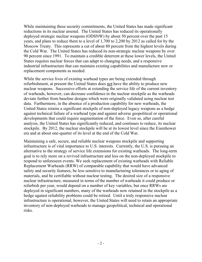While maintaining these security commitments, the United States has made significant reductions in its nuclear arsenal. The United States has reduced its operationally deployed strategic nuclear weapons (ODSNW) by about 50 percent over the past 15 years, and plans to reduce them to a level of 1,700 to 2,200 by 2012 as called for by the Moscow Treaty. This represents a cut of about 80 percent from the highest levels during the Cold War. The United States has reduced its non-strategic nuclear weapons by over 90 percent since 1991. To maintain a credible deterrent at these lower levels, the United States requires nuclear forces that can adapt to changing needs, and a responsive industrial infrastructure that can maintain existing capabilities and manufacture new or replacement components as needed.

While the service lives of existing warhead types are being extended through refurbishment, at present the United States does not have the ability to produce new nuclear weapons. Successive efforts at extending the service life of the current inventory of warheads, however, can decrease confidence in the nuclear stockpile as the warheads deviate further from baseline designs which were originally validated using nuclear test data. Furthermore, in the absence of a production capability for new warheads, the United States retains a significant stockpile of non-deployed legacy weapons as a hedge against technical failure of a warhead type and against adverse geopolitical or operational developments that could require augmentation of the force. Even so, after careful analysis, the United States has significantly reduced, and continues to reduce, its nuclear stockpile. By 2012, the nuclear stockpile will be at its lowest level since the Eisenhower era and at about one-quarter of its level at the end of the Cold War.

Maintaining a safe, secure, and reliable nuclear weapons stockpile and supporting infrastructure is of vital importance to U.S. interests. Currently, the U.S. is pursuing an alternative to the strategy of service life extensions for existing warheads. The long-term goal is to rely more on a revived infrastructure and less on the non-deployed stockpile to respond to unforeseen events. We seek replacement of existing warheads with Reliable Replacement Warheads (RRW) of comparable capability that would have advanced safety and security features, be less sensitive to manufacturing tolerances or to aging of materials, and be certifiable without nuclear testing. The desired size of a responsive nuclear infrastructure, measured in terms of the number of warheads it could produce or refurbish per year, would depend on a number of key variables, but once RRWs are deployed in significant numbers, many of the warheads now retained in the stockpile as a hedge against reliability problems could be retired. Until a truly responsive nuclear infrastructure is operational, however, the United States will need to retain an appropriate inventory of non-deployed warheads to manage geopolitical, technical and operational risks.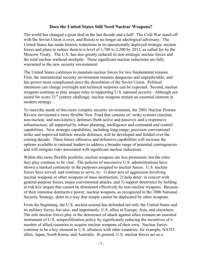#### **Does the United States Still Need Nuclear Weapons?**

The world has changed a great deal in the last decade and a half. The Cold War stand-off with the Soviet Union is over, and Russia is no longer an ideological adversary. The United States has made historic reductions in its operationally deployed strategic nuclear forces and plans to reduce them to a level of 1,700 to 2,200 by 2012, as called for by the Moscow Treaty. The U.S. has also greatly reduced its non-strategic nuclear forces and the total nuclear warhead stockpile. These significant nuclear reductions are fully warranted in the new security environment.

The United States continues to maintain nuclear forces for two fundamental reasons. First, the international security environment remains dangerous and unpredictable, and has grown more complicated since the dissolution of the Soviet Union. Political intentions can change overnight and technical surprises can be expected. Second, nuclear weapons continue to play unique roles in supporting U.S. national security.Although not suited for every  $21<sup>st</sup>$  century challenge, nuclear weapons remain an essential element in modern strategy.

To meet the needs of this more complex security environment, the 2001 Nuclear Posture Review envisioned a more flexible New Triad that consists of: strike systems (nuclear, non-nuclear, and non-kinetic); defenses (both active and passive); and a responsive infrastructure; all supported by robust planning, intelligence and command and control capabilities. New strategic capabilities, including long-range, precision conventional strike and improved ballistic missile defenses, will be developed and fielded over the coming decade. These future offensive and defensive capabilities will increase the options available to national leaders to address a broader range of potential contingencies and will mitigate risks associated with significant nuclear reductions.

Within this more flexible portfolio, nuclear weapons are less prominent, but the roles they play continue to be vital. The policies of successive U.S. administrations have shown a marked continuity in the purposes assigned to nuclear forces. U.S. nuclear forces have served, and continue to serve, to: 1) deter acts of aggression involving nuclear weapons or other weapons of mass destruction; 2) help deter, in concert with general-purpose forces, major conventional attacks; and 3) support deterrence by holding at risk key targets that cannot be threatened effectively by non-nuclear weapons. Because of their immense destructive power, nuclear weapons, as recognized in the 2006 National Security Strategy, deter in a way that simply cannot be duplicated by other weapons.

From the beginning, the U.S. nuclear arsenal has defended not only the United States and its military forces, but also, and importantly, U.S. allies in Europe, Asia, and elsewhere. The role nuclear forces play in the deterrence of attack against allies remains an essential instrument of U.S. nonproliferation policy by significantly reducing the incentives of a number of allied countries to acquire nuclear weapons of their own. Nuclear forces continue to be a key element in U.S. alliances with other countries, for example, NATO allies, Japan, South Korea, and Australia. In general, U.S. nuclear forces act as a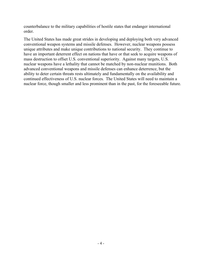counterbalance to the military capabilities of hostile states that endanger international order.

The United States has made great strides in developing and deploying both very advanced conventional weapon systems and missile defenses. However, nuclear weapons possess unique attributes and make unique contributions to national security. They continue to have an important deterrent effect on nations that have or that seek to acquire weapons of mass destruction to offset U.S. conventional superiority. Against many targets, U.S. nuclear weapons have a lethality that cannot be matched by non-nuclear munitions. Both advanced conventional weapons and missile defenses can enhance deterrence, but the ability to deter certain threats rests ultimately and fundamentally on the availability and continued effectiveness of U.S. nuclear forces. The United States will need to maintain a nuclear force, though smaller and less prominent than in the past, for the foreseeable future.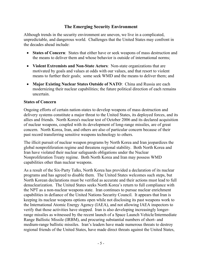# **The Emerging Security Environment**

Although trends in the security environment are uneven, we live in a complicated, unpredictable, and dangerous world. Challenges that the United States may confront in the decades ahead include:

- ! **States of Concern**: States that either have or seek weapons of mass destruction and the means to deliver them and whose behavior is outside of international norms;
- ! **Violent Extremists and Non-State Actors**: Non-state organizations that are motivated by goals and values at odds with our values, and that resort to violent means to further their goals; some seek WMD and the means to deliver them; and
- ! **Major Existing Nuclear States Outside of NATO**: China and Russia are each modernizing their nuclear capabilities; the future political direction of each remains uncertain.

#### **States of Concern**

Ongoing efforts of certain nation-states to develop weapons of mass destruction and delivery systems constitute a major threat to the United States, its deployed forces, and its allies and friends. North Korea's nuclear test of October 2006 and its declared acquisition of nuclear weapons, coupled with its development of long-range missiles, are of great concern. North Korea, Iran, and others are also of particular concern because of their past record transferring sensitive weapons technology to others.

The illicit pursuit of nuclear weapon programs by North Korea and Iran jeopardizes the global nonproliferation regime and threatens regional stability. Both North Korea and Iran have violated their nuclear safeguards obligations under the Nuclear Nonproliferation Treaty regime. Both North Korea and Iran may possess WMD capabilities other than nuclear weapons.

As a result of the Six-Party Talks, North Korea has provided a declaration of its nuclear programs and has agreed to disable them. The United States welcomes such steps, but North Korean declarations must be verified as accurate and their actions must lead to full denuclearization. The United States seeks North Korea's return to full compliance with the NPT as a non-nuclear weapons state. Iran continues to pursue nuclear enrichment capabilities in defiance of the United Nations Security Council. It appears that Iran is keeping its nuclear weapons options open while not disclosing its past weapons work to the International Atomic Energy Agency (IAEA), and not allowing IAEA inspectors to verify that those activities have stopped. Iran is also developing increasingly longerrange missiles as witnessed by the recent launch of a Space Launch Vehicle/Intermediate Range Ballistic Missile (IRBM), and procuring substantial numbers of short- and medium-range ballistic missiles. Iran's leaders have made numerous threats to destroy regional friends of the United States, have made direct threats against the United States,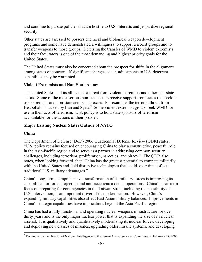and continue to pursue policies that are hostile to U.S. interests and jeopardize regional security.

Other states are assessed to possess chemical and biological weapon development programs and some have demonstrated a willingness to support terrorist groups and to transfer weapons to those groups. Deterring the transfer of WMD to violent extremists and their facilitators is one of the most demanding and highest priority goals for the United States.

The United States must also be concerned about the prospect for shifts in the alignment among states of concern. If significant changes occur, adjustments to U.S. deterrent capabilities may be warranted.

#### **Violent Extremists and Non-State Actors**

The United States and its allies face a threat from violent extremists and other non-state actors. Some of the most serious non-state actors receive support from states that seek to use extremists and non-state actors as proxies. For example, the terrorist threat from Hezbollah is backed by Iran and Syria. $^2$  Some violent extremist groups seek WMD for use in their acts of terrorism. U.S. policy is to hold state sponsors of terrorism accountable for the actions of their proxies.

# **Major Existing Nuclear States Outside of NATO**

#### **China**

The Department of Defense (DoD) 2006 Quadrennial Defense Review (QDR) states: "U.S. policy remains focused on encouraging China to play a constructive, peaceful role in the Asia-Pacific region and to serve as a partner in addressing common security challenges, including terrorism, proliferation, narcotics, and piracy." The QDR also notes, when looking forward, that "China has the greatest potential to compete militarily with the United States and field disruptive technologies that could, over time, offset traditional U.S. military advantages."

China's long-term, comprehensive transformation of its military forces is improving its capabilities for force projection and anti-access/area denial operations. China's near-term focus on preparing for contingencies in the Taiwan Strait, including the possibility of U.S. intervention, is an important driver of its modernization. However, China's expanding military capabilities also affect East Asian military balances. Improvements in China's strategic capabilities have implications beyond the Asia-Pacific region.

China has had a fully functional and operating nuclear weapons infrastructure for over thirty years and is the only major nuclear power that is expanding the size of its nuclear arsenal. It is qualitatively and quantitatively modernizing its nuclear forces, developing and deploying new classes of missiles, upgrading older missile systems, and developing

<sup>&</sup>lt;sup>2</sup> Testimony by the Director of National Intelligence to the Senate Armed Services Committee on February 27, 2007.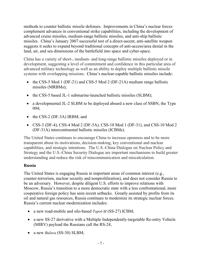methods to counter ballistic missile defenses. Improvements in China's nuclear forces complement advances in conventional strike capabilities, including the development of advanced cruise missiles, medium-range ballistic missiles, and anti-ship ballistic missiles. China's January 2007 successful test of a direct-ascent, anti-satellite weapon suggests it seeks to expand beyond traditional concepts of anti-access/area denial in the land, air, and sea dimensions of the battlefield into space and cyber-space.

China has a variety of short-, medium- and long-range ballistic missiles deployed or in development, suggesting a level of commitment and confidence in this particular area of advanced military technology as well as an ability to deploy multiple ballistic missile systems with overlapping missions. China's nuclear-capable ballistic missiles include:

- the CSS-5 Mod 1 (DF-21) and CSS-5 Mod 2 (DF-21A) medium range ballistic missiles (MRBMs);
- the CSS-5 based JL-1 submarine-launched ballistic missiles (SLBM);
- a developmental JL-2 SLBM to be deployed aboard a new class of SSBN, the Type 094;
- $\bullet$  the CSS-2 (DF-3A) IRBM; and
- CSS-3 (DF-4), CSS-4 Mod 2 (DF-5A), CSS-10 Mod 1 (DF-31), and CSS-10 Mod 2 (DF-31A) intercontinental ballistic missiles (ICBMs).

The United States continues to encourage China to increase openness and to be more transparent about its motivations, decision-making, key conventional and nuclear capabilities, and strategic intentions. The U.S.-China Dialogue on Nuclear Policy and Strategy and the U.S.-China Security Dialogue are important mechanisms to build greater understanding and reduce the risk of miscommunication and miscalculation.

# **Russia**

The United States is engaging Russia in important areas of common interest (e.g., counter-terrorism, nuclear security and nonproliferation), and does not consider Russia to be an adversary. However, despite diligent U.S. efforts to improve relations with Moscow, Russia's transition to a more democratic state with a less confrontational, more cooperative foreign policy has seen recent setbacks. Greatly assisted by profits from its oil and natural gas resources, Russia continues to modernize its strategic nuclear forces. Russia's current nuclear modernization includes:

- ! a new road-mobile and silo-based *Topol-M* (SS-27) ICBM;
- a new SS-27 derivative with a Multiple Independently-targetable Re-entry Vehicle (MIRV) payload the Russians call the RS-24,
- a new *Bulava* (SS-30) SLBM;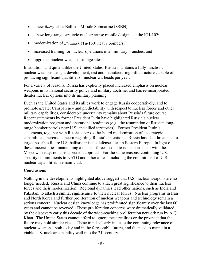- ! a new *Borey*-class Ballistic Missile Submarine (SSBN);
- $\bullet$  a new long-range strategic nuclear cruise missile designated the KH-102;
- modernization of *Blackjack* (Tu-160) heavy bombers;
- increased training for nuclear operations in all military branches; and
- upgraded nuclear weapons storage sites.

In addition, and quite unlike the United States, Russia maintains a fully functional nuclear weapons design, development, test and manufacturing infrastructure capable of producing significant quantities of nuclear warheads per year.

For a variety of reasons, Russia has explicitly placed increased emphasis on nuclear weapons in its national security policy and military doctrine, and has re-incorporated theater nuclear options into its military planning.

Even as the United States and its allies work to engage Russia cooperatively, and to promote greater transparency and predictability with respect to nuclear forces and other military capabilities, considerable uncertainty remains about Russia's future course. Recent statements by former President Putin have highlighted Russia's nuclear modernization program and operational readiness (e.g., the resumption of Russian longrange bomber patrols near U.S. and allied territories). Former President Putin's statements, together with Russia's across-the-board modernization of its strategic capabilities, increase concern regarding Russia's intentions. Russia has also threatened to target possible future U.S. ballistic missile defense sites in Eastern Europe. In light of these uncertainties, maintaining a nuclear force second to none, consistent with the Moscow Treaty, remains a prudent approach. For the same reasons, continuing U.S. security commitments to NATO and other allies –including the commitment of U.S. nuclear capabilities– remain vital.

# **Conclusions**

Nothing in the developments highlighted above suggest that U.S. nuclear weapons are no longer needed. Russia and China continue to attach great significance to their nuclear forces and their modernization. Regional dynamics lead other nations, such as India and Pakistan, to attach a similar significance to their nuclear forces. Nuclear programs in Iran and North Korea and further proliferation of nuclear weapons and technology remain a serious concern. Nuclear design knowledge has proliferated significantly over the last 60 years and cannot be reversed. These proliferation concerns were dramatically validated by the discovery early this decade of the wide-reaching proliferation network run by A.Q. Khan. The United States cannot afford to ignore these realities or the prospect that the future may hold similar risks. These trends clearly indicate the continuing relevance of nuclear weapons, both today and in the foreseeable future, and the need to maintain a viable U.S. nuclear capability well into the  $21<sup>st</sup>$  century.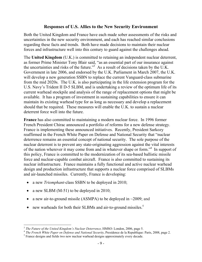### **Responses of U.S. Allies to the New Security Environment**

Both the United Kingdom and France have each made sober assessments of the risks and uncertainties in the new security environment, and each has reached similar conclusions regarding these facts and trends. Both have made decisions to maintain their nuclear forces and infrastructure well into this century to guard against the challenges ahead.

The **United Kingdom** (U.K.) is committed to retaining an independent nuclear deterrent, as former Prime Minister Tony Blair said, "as an essential part of our insurance against the uncertainties and risks of the future.<sup>33</sup> As a result of decisions taken by the U.K. Government in late 2006, and endorsed by the U.K. Parliament in March 2007, the U.K. will develop a new generation SSBN to replace the current Vanguard-class submarine from the mid 2020s. The U.K. is also participating in the life extension program for the U.S. Navy's Trident II D-5 SLBM, and is undertaking a review of the optimum life of its current warhead stockpile and analysis of the range of replacement options that might be available. It has a program of investment in sustaining capabilities to ensure it can maintain its existing warhead type for as long as necessary and develop a replacement should that be required. These measures will enable the U.K. to sustain a nuclear deterrent force well into the future.

**France** has also committed to maintaining a modern nuclear force. In 1996 former French President Chirac announced a portfolio of reforms for a new defense strategy. France is implementing these announced initiatives. Recently, President Sarkozy reaffirmed in the French White Paper on Defense and National Security that "nuclear deterrence remains an essential concept of national security. The sole purpose of the nuclear deterrent is to prevent any state-originating aggression against the vital interests of the nation wherever it may come from and in whatever shape or form."<sup>4</sup> In support of this policy, France is committed to the modernization of its sea-based ballistic missile force and nuclear-capable combat aircraft. France is also committed to sustaining its nuclear infrastructure. France maintains a fully functional and active nuclear warhead design and production infrastructure that supports a nuclear force comprised of SLBMs and air-launched missiles. Currently, France is developing:

- ! a new *Triomphant-*class SSBN to be deployed in 2010;
- a new SLBM  $(M-51)$  to be deployed in 2010;
- a new air-to-ground missile (ASMPA) to be deployed in  $\sim$ 2009; and
- $\bullet$  new warheads for both their SLBMs and air-to-ground missiles.<sup>5</sup>

 $\overline{a}$ 

<sup>&</sup>lt;sup>3</sup> *The Future of the United Kingdom's Nuclear Deterrence,* HMSO: London, 2006, page 5.<br><sup>4</sup> *The French White Paper on Defense and National Security*, Presidence de la Republique: Paris, 2008, page 2.

<sup>&</sup>lt;sup>5</sup> France designs and fields two new nuclear warhead designs approximately every decade.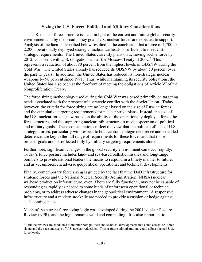### **Sizing the U.S. Force: Political and Military Considerations**

The U.S. nuclear force structure is sized in light of the current and future global security environment and by the broad policy goals U.S. nuclear forces are expected to support. Analysis of the factors described below resulted in the conclusion that a force of 1,700 to 2,200 operationally deployed strategic nuclear warheads is sufficient to meet U.S. strategic requirements. The United States currently plans on achieving such a force by 2012, consistent with U.S. obligations under the Moscow Treaty of 2002.<sup>6</sup> This represents a reduction of about 80 percent from the highest levels of ODSNW during the Cold War. The United States already has reduced its ODSNW by about 50 percent over the past 15 years. In addition, the United States has reduced its non-strategic nuclear weapons by 90 percent since 1991. Thus, while maintaining its security obligations, the United States has also been at the forefront of meeting the obligations of Article VI of the Nonproliferation Treaty.

The force sizing methodology used during the Cold War was based primarily on targeting needs associated with the prospect of a strategic conflict with the Soviet Union. Today, however, the criteria for force sizing are no longer based on the size of Russian forces and the cumulative targeting requirements for nuclear strike plans. Instead, the size of the U.S. nuclear force is now based on the ability of the operationally deployed force, the force structure, and the supporting nuclear infrastructure to meet a spectrum of political and military goals. These considerations reflect the view that the political effects of U.S. strategic forces, particularly with respect to both central strategic deterrence and extended deterrence, are key to the full range of requirements for these forces and that those broader goals are not reflected fully by military targeting requirements alone.

Furthermore, significant changes in the global security environment can occur rapidly. Today's force posture includes land- and sea-based ballistic missiles and long-range bombers to provide national leaders the means to respond in a timely manner to future, and as yet unforeseen, adverse geopolitical, operational and technical developments.

Finally, contemporary force sizing is guided by the fact that the DoD infrastructure for strategic forces and the National Nuclear Security Administration (NNSA) nuclear warhead production infrastructure, even if both are fully functional, may not be capable of responding as rapidly as needed to some kinds of unforeseen operational or technical problems, or to address adverse changes in the geopolitical environment. A responsive infrastructure and a modern stockpile are needed to provide a cushion or hedge against such contingencies.

Much of the current force sizing logic was developed during the 2001 Nuclear Posture Review (NPR), and the logic remains valid and compelling. It is also important to

 $\overline{a}$ <sup>6</sup> Periodic reviews are conducted to monitor both political and technical developments that could affect U.S. force sizing and the pace and scale of U.S. nuclear reductions. This or future administrations could adjust planned U.S. force levels.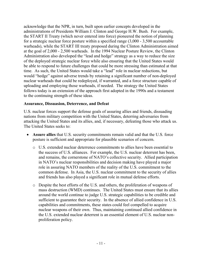acknowledge that the NPR, in turn, built upon earlier concepts developed in the administrations of Presidents William J. Clinton and George H.W. Bush. For example, the START II Treaty (which never entered into force) pioneered the notion of planning for a strategic nuclear force posture within a specified range (3,000 - 3,500 accountable warheads), while the START III treaty proposed during the Clinton Administration aimed at the goal of 2,000 - 2,500 warheads. In the 1994 Nuclear Posture Review, the Clinton Administration also developed the "lead and hedge" strategy as a way to reduce the size of the deployed strategic nuclear force while also ensuring that the United States would be able to respond to future challenges that could be more stressing than estimated at that time. As such, the United States would take a "lead" role in nuclear reductions, but would "hedge" against adverse trends by retaining a significant number of non-deployed nuclear warheads that could be redeployed, if warranted, and a force structure capable of uploading and employing those warheads, if needed. The strategy the United States follows today is an extension of the approach first adopted in the 1990s and a testament to the continuing strength of these ideas.

#### **Assurance, Dissuasion, Deterrence, and Defeat**

U.S. nuclear forces support the defense goals of assuring allies and friends, dissuading nations from military competition with the United States, deterring adversaries from attacking the United States and its allies, and, if necessary, defeating those who attack us. The United States seeks to:

- ! **Assure allies** that U.S. security commitments remain valid and that the U.S. force posture is sufficient and appropriate for plausible scenarios of concern.
	- o U.S. extended nuclear deterrence commitments to allies have been essential to the success of U.S. alliances. For example, the U.S. nuclear deterrent has been, and remains, the cornerstone of NATO's collective security. Allied participation in NATO's nuclear responsibilities and decision making have played a major role in assuring NATO members of the reality of the U.S. commitment to the common defense. In Asia, the U.S. nuclear commitment to the security of allies and friends has also played a significant role in mutual defense efforts.
	- o Despite the best efforts of the U.S. and others, the proliferation of weapons of mass destruction (WMD) continues. The United States must ensure that its allies around the world continue to judge U.S. strategic capabilities to be credible and sufficient to guarantee their security. In the absence of allied confidence in U.S. capabilities and commitments, these states could feel compelled to acquire nuclear weapons of their own. Thus, maintaining continued allied confidence in the U.S. extended nuclear deterrent is an essential element of U.S. nuclear nonproliferation policy.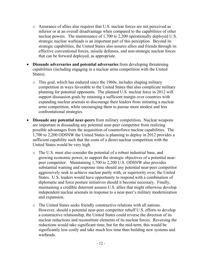- o Assurance of allies also requires that U.S. nuclear forces are not perceived as inferior or at an overall disadvantage when compared to the capabilities of other nuclear powers. The maintenance of 1,700 to 2,200 operationally deployed U.S. strategic nuclear warheads is an important part of this perception. Beyond its strategic capabilities, the United States also assures allies and friends through its effective conventional forces, missile defenses, and non-strategic nuclear forces that can be forward deployed, as appropriate.
- ! **Dissuade adversaries and potential adversaries** from developing threatening capabilities (including engaging in a nuclear arms competition with the United States).
	- o This goal, which has endured since the 1960s, includes shaping military competition in ways favorable to the United States that also complicate military planning for potential opponents. The planned U.S. nuclear force in 2012 will support dissuasion goals by retaining a sufficient margin over countries with expanding nuclear arsenals to discourage their leaders from initiating a nuclear arms competition, while encouraging them to pursue more modest and less confrontational strategies.
- ! **Dissuade any potential near-peers** from military competition**.** Nuclear weapons are important in dissuading any potential near-peer competitor from realizing possible advantages from the acquisition of counterforce nuclear capabilities. The 1,700 to 2,200 ODSNW the United States is planning to deploy in 2012 provides a sufficient capability such that the costs of a direct nuclear competition with the United States would be very high.
	- o The U.S. must also consider the potential of a robust industrial base, and growing economic power, to support the strategic objectives of a potential nearpeer competitor. Maintaining 1,700 to 2,200 U.S. ODSNW also provides substantial warning and response time should any potential near-peer competitor aggressively seek to achieve nuclear parity with, or superiority over, the United States. U.S. leaders would have opportunity to respond with a combination of diplomatic and force posture initiatives should it become necessary. Finally, maintaining a credible deterrent assures U.S. allies that might otherwise develop independent nuclear arsenals in response to a near-peer's military modernization and expansion.
	- o The United States seeks friendly constructive relations with all nations. However, should a potential near-peer competitor rebuff U.S. efforts to develop a constructive relationship, the United States could reverse the direction of its nuclear reductions and reconstitute elements of its nuclear forces. Reversing the reductions would take significant time, but for the mid-term, this would be significantly less costly and take much less time than building new systems and warheads.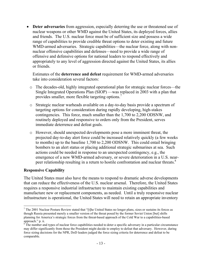! **Deter adversaries** from aggression, especially deterring the use or threatened use of nuclear weapons or other WMD against the United States, its deployed forces, allies and friends. The U.S. nuclear force must be of sufficient size and possess a wide range of capabilities to provide credible threat options to deter existing and future WMD-armed adversaries. Strategic capabilities—the nuclear force, along with nonnuclear offensive capabilities and defenses—need to provide a wide range of offensive and defensive options for national leaders to respond effectively and appropriately to any level of aggression directed against the United States, its allies or friends.

 Estimates of the **deterrence and defeat** requirement for WMD-armed adversaries take into consideration several factors:

- o The decades-old, highly integrated operational plan for strategic nuclear forces—the Single Integrated Operations Plan (SIOP) —was replaced in 2003 with a plan that provides smaller, more flexible targeting options.7
- o Strategic nuclear warheads available on a day-to-day basis provide a spectrum of targeting options for consideration during rapidly developing, high-stakes contingencies. This force, much smaller than the 1,700 to 2,200 ODSNW, and routinely deployed and responsive to orders only from the President, serves immediate deterrence and defeat goals.
- o However, should unexpected developments pose a more imminent threat, the projected day-to-day alert force could be increased relatively quickly (a few weeks to months) up to the baseline 1,700 to 2,200 ODSNW. This could entail bringing bombers to an alert status or placing additional strategic submarines at sea. Such actions could be needed in response to an unexpected contingency, e.g., the emergence of a new WMD-armed adversary, or severe deterioration in a U.S. nearpeer relationship resulting in a return to hostile confrontation and nuclear threats.<sup>8</sup>

#### **Responsive Capability**

 $\overline{a}$ 

The United States must also have the means to respond to dramatic adverse developments that can reduce the effectiveness of the U.S. nuclear arsenal. Therefore, the United States requires a responsive industrial infrastructure to maintain existing capabilities and manufacture new or replacement components, as needed. Until a truly responsive nuclear infrastructure is operational, the United States will need to retain an appropriate inventory

 $<sup>7</sup>$  The 2001 Nuclear Posture Review stated that "[t]he United States no longer plans, sizes or sustains its forces as</sup> though Russia presented merely a smaller version of the threat posed by the former Soviet Union [but] shifts planning for America's strategic forces from the threat-based approach of the Cold War to a capabilities-based approach." p. ii.

 $\delta$ <sup>7</sup>The number and types of nuclear force capabilities needed to deter a specific adversary in a particular circumstance may differ significantly from those the President might decide to employ to defeat that adversary. However, during force sizing decisions for the NPR, DoD leaders judged the force sizing criteria for deterrence and defeat to be comparable.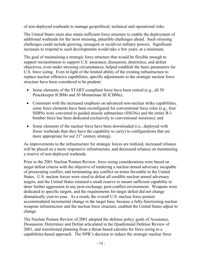of non-deployed warheads to manage geopolitical, technical and operational risks.

The United States must also retain sufficient force structure to enable the deployment of additional warheads for the most stressing, plausible challenges ahead. Such stressing challenges could include growing, resurgent or recidivist military powers. Significant increases to respond to such developments would take a few years, at a minimum.

The goal of maintaining a strategic force structure that would be flexible enough to support reconstitution to support U.S. assurance, dissuasion, deterrence, and defeat objectives, even under stressing circumstances, helped establish the basic parameters for U.S. force sizing. Even in light of the limited ability of the existing infrastructure to replace nuclear offensive capabilities, specific adjustments to the strategic nuclear force structure have been considered to be prudent:

- Some elements of the START-compliant force have been retired (e.g., all 50) Peacekeeper ICBMs and 50 Minuteman III ICBMs);
- Consistent with the increased emphasis on advanced non-nuclear strike capabilities, some force elements have been reconfigured for conventional force roles (e.g., four SSBNs were converted to guided missile submarines (SSGNs) and the entire B-1 bomber force has been dedicated exclusively to conventional missions); and
- Some elements of the nuclear force have been downloaded (i.e., deployed with fewer warheads than they have the capability to carry) to configurations that are more appropriate for our  $21<sup>st</sup>$  century strategy.

As improvements to the infrastructure for strategic forces are realized, increased reliance will be placed on a more responsive infrastructure, and decreased reliance on maintaining a reserve of non-deployed warheads.

Prior to the 2001 Nuclear Posture Review, force sizing considerations were based on target defeat criteria with the objective of rendering a nuclear-armed adversary incapable of prosecuting conflict, and terminating any conflict on terms favorable to the United States. U.S. nuclear forces were sized to defeat all credible nuclear-armed adversary targets, and the United States retained a small reserve to ensure sufficient capability to deter further aggression in any post-exchange, post-conflict environment. Weapons were dedicated to specific targets, and the requirements for target defeat did not change dramatically year-to-year. As a result, the overall U.S. nuclear force posture accommodated incremental change in the target base, because a fully-functioning nuclear weapons infrastructure and the nuclear force structure, enabled the United States adjust to change.

The Nuclear Posture Review of 2001 adopted the defense policy goals of Assurance, Dissuasion, Deterrence and Defeat articulated in the Quadrennial Defense Review of 2001, and transitioned planning from a threat-based calculus for force sizing to a capabilities-based approach. The NPR's decision to reduce the strategic nuclear force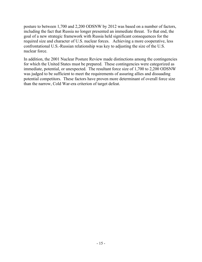posture to between 1,700 and 2,200 ODSNW by 2012 was based on a number of factors, including the fact that Russia no longer presented an immediate threat. To that end, the goal of a new strategic framework with Russia held significant consequences for the required size and character of U.S. nuclear forces. Achieving a more cooperative, less confrontational U.S.-Russian relationship was key to adjusting the size of the U.S. nuclear force.

In addition, the 2001 Nuclear Posture Review made distinctions among the contingencies for which the United States must be prepared. These contingencies were categorized as immediate, potential, or unexpected. The resultant force size of 1,700 to 2,200 ODSNW was judged to be sufficient to meet the requirements of assuring allies and dissuading potential competitors. These factors have proven more determinant of overall force size than the narrow, Cold War-era criterion of target defeat.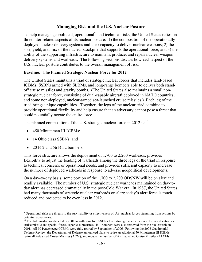## **Managing Risk and the U.S. Nuclear Posture**

To help manage geopolitical, operational<sup>9</sup>, and technical risks, the United States relies on three inter-related aspects of its nuclear posture: 1) the composition of the operationally deployed nuclear delivery systems and their capacity to deliver nuclear weapons; 2) the size, yield, and mix of the nuclear stockpile that supports the operational force; and 3) the ability of the supporting infrastructure to maintain, produce, and repair nuclear weapon delivery systems and warheads. The following sections discuss how each aspect of the U.S. nuclear posture contributes to the overall management of risk.

#### **Baseline: The Planned Strategic Nuclear Force for 2012**

The United States maintains a triad of strategic nuclear forces that includes land-based ICBMs, SSBNs armed with SLBMs, and long-range bombers able to deliver both standoff cruise missiles and gravity bombs. (The United States also maintains a small nonstrategic nuclear force, consisting of dual-capable aircraft deployed in NATO countries, and some non-deployed, nuclear-armed sea-launched cruise missiles.) Each leg of the triad brings unique capabilities. Together, the legs of the nuclear triad combine to provide operational flexibility and help ensure that an adversary cannot pose a threat that could potentially negate the entire force.

The planned composition of the U.S. strategic nuclear force in 2012 is: $^{10}$ 

- 450 Minuteman III ICBMs;
- 14 Ohio class SSBNs; and

 $\overline{a}$ 

! 20 B-2 and 56 B-52 bombers

This force structure allows the deployment of 1,700 to 2,200 warheads, provides flexibility to adjust the loading of warheads among the three legs of the triad in response to technical concerns or operational needs, and provides sufficient capacity to increase the number of deployed warheads in response to adverse geopolitical developments.

On a day-to-day basis, some portion of the 1,700 to 2,200 ODSNW will be on alert and readily available. The number of U.S. strategic nuclear warheads maintained on day-today alert has decreased dramatically in the post-Cold War era. In 1987, the United States had many thousands of strategic nuclear warheads on alert; today's alert force is much reduced and projected to be even less in 2012.

 $9$  Operational risks are threats to the survivability or effectiveness of U.S. nuclear forces stemming from actions by potential adversaries.

<sup>&</sup>lt;sup>10</sup> The Administration decided in 2001 to withdraw four SSBNs from strategic nuclear service for modification as cruise missile and special-forces-capable submarines. B-1 bombers were also removed from the nuclear role in 2001. All 50 Peacekeeper ICBMs were fully retired by September of 2006. Following the 2006 Quadrennial Defense Review, the Department of Defense announced plans to retire an additional 50 Minuteman III ICBMs, retire all Advanced Cruise Missiles (ACM), and reduce the number of Air Launched Cruise Missiles (ALCMs).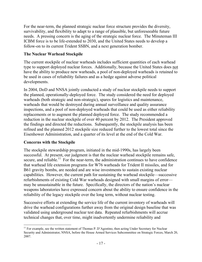For the near-term, the planned strategic nuclear force structure provides the diversity, survivability, and flexibility to adapt to a range of plausible, but unforeseeable future needs. A pressing concern is the aging of the strategic nuclear force. The Minuteman III ICBM force is to be life-extended to 2030, and the United States needs to develop a follow-on to its current Trident SSBN, and a next generation bomber.

## **The Nuclear Warhead Stockpile**

The current stockpile of nuclear warheads includes sufficient quantities of each warhead type to support deployed nuclear forces. Additionally, because the United States does not have the ability to produce new warheads, a pool of non-deployed warheads is retained to be used in cases of reliability failures and as a hedge against adverse political developments.

In 2004, DoD and NNSA jointly conducted a study of nuclear stockpile needs to support the planned, operationally-deployed force. The study considered the need for deployed warheads (both strategic and non-strategic), spares for logistics and maintenance, warheads that would be destroyed during annual surveillance and quality assurance inspections, and a pool of non-deployed warheads that could be used as either reliability replacements or to augment the planned deployed force. The study recommended a reduction in the nuclear stockpile of over 40 percent by 2012. The President approved the findings and directed the reductions. Subsequently, the stockpile analysis has been refined and the planned 2012 stockpile size reduced further to the lowest total since the Eisenhower Administration, and a quarter of its level at the end of the Cold War.

#### **Concerns with the Stockpile**

The stockpile stewardship program, initiated in the mid-1990s, has largely been successful. At present, our judgment is that the nuclear warhead stockpile remains safe, secure, and reliable.<sup>11</sup> For the near-term, the administration continues to have confidence that warhead life extension programs for W76 warheads for Trident II missiles, and for B61 gravity bombs, are needed and are wise investments to sustain existing nuclear capabilities. However, the current path for sustaining the warhead stockpile—successive refurbishments of existing Cold War warheads designed with small margins of error may be unsustainable in the future. Specifically, the directors of the nation's nuclear weapons laboratories have expressed concern about the ability to ensure confidence in the reliability of the legacy stockpile over the long term, without nuclear testing.

Successive efforts at extending the service life of the current inventory of warheads will drive the warhead configurations further away from the original design baseline that was validated using underground nuclear test data. Repeated refurbishments will accrue technical changes that, over time, might inadvertently undermine reliability and

 $\overline{a}$ <sup>11</sup> For example, see the written statement of Thomas P. D'Agostino, then acting Under Secretary for Nuclear Security and Administrator, NNSA, before the House Armed Services Subcommittee on Strategic Forces, March 20, 2007.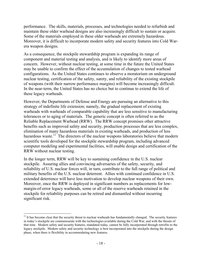performance. The skills, materials, processes, and technologies needed to refurbish and maintain these older warhead designs are also increasingly difficult to sustain or acquire. Some of the materials employed in these older warheads are extremely hazardous. Moreover, it is difficult to incorporate modern safety and security features into Cold Warera weapon designs.

As a consequence, the stockpile stewardship program is expanding its range of component and material testing and analysis, and is likely to identify more areas of concern. However, without nuclear testing, at some time in the future the United States may be unable to confirm the effect of the accumulation of changes to tested warhead configurations. As the United States continues to observe a moratorium on underground nuclear testing, certification of the safety, surety, and reliability of the existing stockpile of weapons (with their narrow performance margins) will become increasingly difficult. In the near-term, the United States has no choice but to continue to extend the life of these legacy warheads.

However, the Departments of Defense and Energy are pursuing an alternative to this strategy of indefinite life extension; namely, the gradual replacement of existing warheads with warheads of comparable capability that are less sensitive to manufacturing tolerances or to aging of materials. The generic concept is often referred to as the Reliable Replacement Warhead (RRW). The RRW concept promises other attractive benefits such as improved safety and security, production processes that are less complex, elimination of many hazardous materials in existing warheads, and production of less hazardous waste.<sup>12</sup> The directors of the nuclear weapons laboratories believe that modern scientific tools developed for the stockpile stewardship program, including advanced computer modeling and experimental facilities, will enable design and certification of the RRW without nuclear testing.

In the longer term, RRW will be key to sustaining confidence in the U.S. nuclear stockpile. Assuring allies and convincing adversaries of the safety, security, and reliability of U.S. nuclear forces will, in turn, contribute to the full range of political and military benefits of the U.S. nuclear deterrent. Allies with continued confidence in U.S. extended deterrence will have less motivation to develop nuclear weapons of their own. Moreover, once the RRW is deployed in significant numbers as replacements for lowmargin-of-error legacy warheads, some or all of the reserve warheads retained in the stockpile for reliability purposes can be retired and dismantled without incurring significant risk.

 $\overline{a}$  $12$  It has become clear that the security threat to nuclear warheads has fundamentally changed. The security features in today's stockpile are commensurate with the technologies available during the Cold War, and with the threats of that time. Modern safety and security features, mandated today, cannot be fully incorporated through retrofits to the legacy stockpile. Modern safety and security technology is best incorporated into the stockpile during the design phase, when there is flexibility in accommodating new features.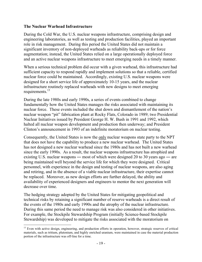#### **The Nuclear Warhead Infrastructure**

During the Cold War, the U.S. nuclear weapons infrastructure, comprising design and engineering laboratories, as well as testing and production facilities, played an important role in risk management. During this period the United States did not maintain a significant inventory of non-deployed warheads as reliability back-ups or for force augmentation; instead, the United States relied on a large operationally deployed force and an active nuclear weapons infrastructure to meet emerging needs in a timely manner.

When a serious technical problem did occur with a given warhead, this infrastructure had sufficient capacity to respond rapidly and implement solutions so that a reliable, certified nuclear force could be maintained. Accordingly, existing U.S. nuclear weapons were designed for a short service life of approximately 10-15 years, and the nuclear infrastructure routinely replaced warheads with new designs to meet emerging requirements.<sup>13</sup>

During the late 1980s and early 1990s, a series of events combined to change fundamentally how the United States manages the risks associated with maintaining its nuclear force. These events included the shut down and dismantlement of the nation's nuclear weapon "pit" fabrication plant at Rocky Flats, Colorado in 1989; two Presidential Nuclear Initiatives issued by President George H. W. Bush in 1991 and 1992, which halted all nuclear weapon development and production then underway; and President Clinton's announcement in 1993 of an indefinite moratorium on nuclear testing.

Consequently, the United States is now the only nuclear weapons state party to the NPT that does not have the capability to produce a new nuclear warhead. The United States has not designed a new nuclear warhead since the 1980s and has not built a new warhead since the early 1990s. As a result, the nuclear weapons infrastructure has atrophied and existing U.S. nuclear weapons — most of which were designed 20 to 30 years ago — are being maintained well beyond the service life for which they were designed. Critical personnel, with experience in the design and testing of nuclear weapons, are also aging and retiring, and in the absence of a viable nuclear infrastructure, their expertise cannot be replaced. Moreover, as new design efforts are further delayed, the ability and availability of experienced designers and engineers to mentor the next generation will decrease over time.

The hedging strategy adopted by the United States for mitigating geopolitical and technical risks by retaining a significant number of reserve warheads is a direct result of the events of the 1980s and early 1990s and the atrophy of the nuclear infrastructure. During this same period the need to manage risk was also considered in other initiatives. For example, the Stockpile Stewardship Program (initially Science-based Stockpile Stewardship) was developed to mitigate the risks associated with the moratorium on

 $\overline{a}$ <sup>13</sup> Even with active design, engineering, and production efforts in operation, however, strategic reserves of critical materials, such as tritium, plutonium, and highly enriched uranium, were maintained in case the material production portion of the infrastructure was off-line for a time.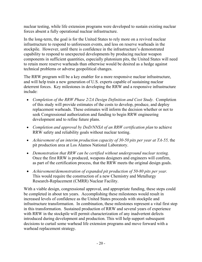nuclear testing, while life extension programs were developed to sustain existing nuclear forces absent a fully operational nuclear infrastructure.

In the long-term, the goal is for the United States to rely more on a revived nuclear infrastructure to respond to unforeseen events, and less on reserve warheads in the stockpile. However, until there is confidence in the infrastructure's demonstrated capability to respond to unexpected developments by producing nuclear weapon components in sufficient quantities, especially plutonium pits, the United States will need to retain more reserve warheads than otherwise would be desired as a hedge against technical problems or adverse geopolitical changes.

The RRW program will be a key enabler for a more responsive nuclear infrastructure, and will help train a new generation of U.S. experts capable of sustaining nuclear deterrent forces. Key milestones in developing the RRW and a responsive infrastructure include:

- ! *Completion of the RRW Phase 2/2A Design Definition and Cost Study.* Completion of this study will provide estimates of the costs to develop, produce, and deploy replacement warheads. These estimates will inform the decision whether or not to seek Congressional authorization and funding to begin RRW engineering development and to refine future plans.
- ! *Completion and approval by DoD/NNSA of an RRW certification plan* to achieve RRW safety and reliability goals without nuclear testing.
- ! *Achievement of an interim production capacity of 30-50 pits per year at TA-55,* the pit production area at Los Alamos National Laboratory.
- ! *Demonstration that RRW can be certified without underground nuclear testing.*  Once the first RRW is produced, weapons designers and engineers will confirm, as part of the certification process, that the RRW meets the original design goals.
- ! *Achievement/demonstration of expanded pit production of 50-80 pits per year.*  This would require the construction of a new Chemistry and Metallurgy Research-Replacement (CMRR) Nuclear Facility.

With a viable design, congressional approval, and appropriate funding, these steps could be completed in about ten years. Accomplishing these milestones would result in increased levels of confidence as the United States proceeds with stockpile and infrastructure transformation. In combination, these milestones represent a vital first step in this transformation. Sustained production of RRW and several years of experience with RRW in the stockpile will permit characterization of any inadvertent defects introduced during development and production. This will help support subsequent decisions to curtail some warhead life extension programs and move forward with a warhead replacement strategy.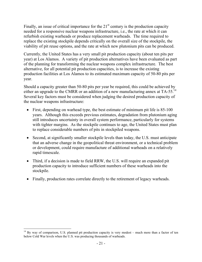Finally, an issue of critical importance for the  $21<sup>st</sup>$  century is the production capacity needed for a responsive nuclear weapons infrastructure, i.e., the rate at which it can refurbish existing warheads or produce replacement warheads. The time required to replace the existing stockpile depends critically on the overall size of the stockpile, the viability of pit reuse options, and the rate at which new plutonium pits can be produced.

Currently, the United States has a very small pit production capacity (about ten pits per year) at Los Alamos. A variety of pit production alternatives have been evaluated as part of the planning for transforming the nuclear weapons complex infrastructure. The best alternative, for all potential pit production capacities, is to increase the existing production facilities at Los Alamos to its estimated maximum capacity of 50-80 pits per year.

Should a capacity greater than 50-80 pits per year be required, this could be achieved by either an upgrade to the CMRR or an addition of a new manufacturing annex at TA-55.<sup>14</sup> Several key factors must be considered when judging the desired production capacity of the nuclear weapons infrastructure:

- ! First, depending on warhead type, the best estimate of minimum pit life is 85-100 years. Although this exceeds previous estimates, degradation from plutonium aging still introduces uncertainty in overall system performance, particularly for systems with tighter margins. As the stockpile continues to age, the United States must plan to replace considerable numbers of pits in stockpiled weapons.
- Second, at significantly smaller stockpile levels than today, the U.S. must anticipate that an adverse change in the geopolitical threat environment, or a technical problem or development, could require manufacture of additional warheads on a relatively rapid timescale.
- Third, if a decision is made to field RRW, the U.S. will require an expanded pit production capacity to introduce sufficient numbers of these warheads into the stockpile.
- ! Finally, production rates correlate directly to the retirement of legacy warheads.

 $\overline{a}$ 

<sup>&</sup>lt;sup>14</sup> By way of comparison, U.S. planned pit production capacity is very modest – much more than a factor of ten below Cold War levels when the U.S. was producing thousands of warheads.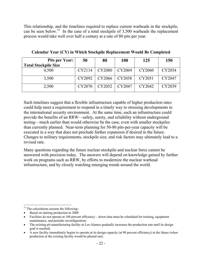This relationship, and the timelines required to replace current warheads in the stockpile, can be seen below.<sup>15</sup> In the case of a total stockpile of 3,500 warheads the replacement process would take well over half a century at a rate of 80 pits per year.

| <b>Pits per Year:</b>       | 50     | 80     | <b>100</b> | 125    | 150    |
|-----------------------------|--------|--------|------------|--------|--------|
| <b>Total Stockpile Size</b> |        |        |            |        |        |
| 4.500                       | CY2114 | CY2080 | CY2069     | CY2060 | CY2054 |
| 3,500                       | CY2092 | CY2066 | CY2058     | CY2051 | CY2047 |
| 2,500                       | CY2070 | CY2052 | CY2047     | CY2042 | CY2039 |

**Calendar Year (CY) in Which Stockpile Replacement Would Be Completed**

Such timelines suggest that a flexible infrastructure capable of higher production rates could help meet a requirement to respond in a timely way to stressing developments in the international security environment. At the same time, such an infrastructure could provide the benefits of an RRW—safety, surety, and reliability without underground testing—much earlier than would otherwise be the case, even with smaller stockpiles than currently planned. Near-term planning for 50-80 pits-per-year capacity will be executed in a way that does not preclude further expansion if desired in the future. Changes to military requirements, stockpile size, and risk factors may ultimately lead to a revised rate.

Many questions regarding the future nuclear stockpile and nuclear force cannot be answered with precision today. The answers will depend on knowledge gained by further work on programs such as RRW, by efforts to modernize the nuclear warhead infrastructure, and by closely watching emerging trends around the world.

 $\overline{a}$ 

<sup>&</sup>lt;sup>15</sup> The calculations assume the following:

<sup>!</sup> Based on starting production in 2008

<sup>!</sup> Facilities do not operate at 100 percent efficiency – down time must be scheduled for training, equipment maintenance, and periodic reconfiguration;

<sup>!</sup> The existing pit manufacturing facility at Los Alamos gradually increases the production rate until its design goal is reached;

<sup>!</sup> A new facility immediately begins to operate at its design capacity (at 90 percent efficiency) in the future (when production at the existing facility would be phased out).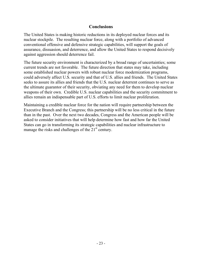## **Conclusions**

The United States is making historic reductions in its deployed nuclear forces and its nuclear stockpile. The resulting nuclear force, along with a portfolio of advanced conventional offensive and defensive strategic capabilities, will support the goals of assurance, dissuasion, and deterrence, and allow the United States to respond decisively against aggression should deterrence fail.

The future security environment is characterized by a broad range of uncertainties; some current trends are not favorable. The future direction that states may take, including some established nuclear powers with robust nuclear force modernization programs, could adversely affect U.S. security and that of U.S. allies and friends. The United States seeks to assure its allies and friends that the U.S. nuclear deterrent continues to serve as the ultimate guarantor of their security, obviating any need for them to develop nuclear weapons of their own. Credible U.S. nuclear capabilities and the security commitment to allies remain an indispensable part of U.S. efforts to limit nuclear proliferation.

Maintaining a credible nuclear force for the nation will require partnership between the Executive Branch and the Congress; this partnership will be no less critical in the future than in the past. Over the next two decades, Congress and the American people will be asked to consider initiatives that will help determine how fast and how far the United States can go in transforming its strategic capabilities and nuclear infrastructure to manage the risks and challenges of the  $21<sup>st</sup>$  century.